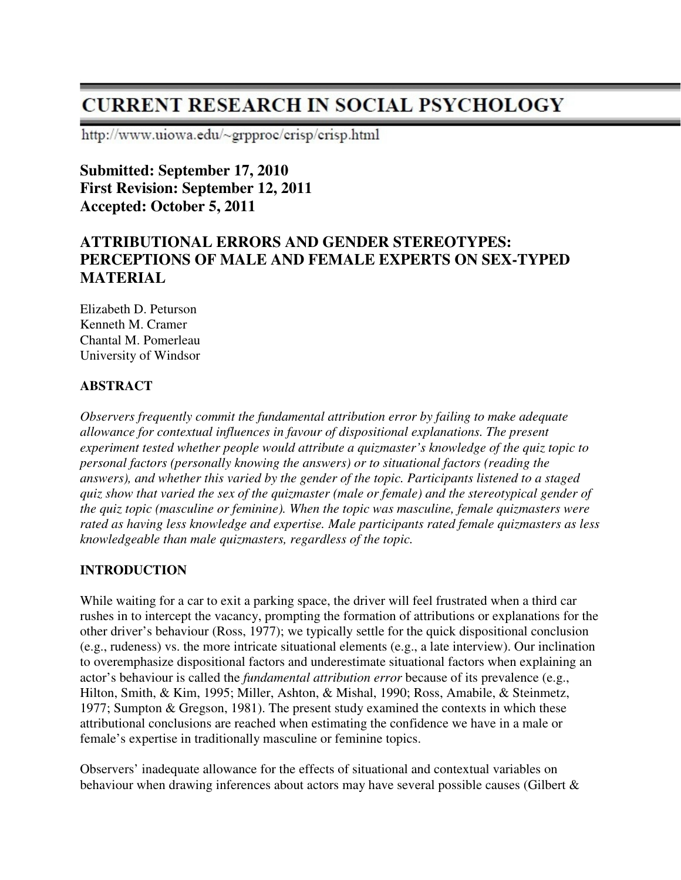# **CURRENT RESEARCH IN SOCIAL PSYCHOLOGY**

http://www.uiowa.edu/~grpproc/crisp/crisp.html

**Submitted: September 17, 2010 First Revision: September 12, 2011 Accepted: October 5, 2011** 

# **ATTRIBUTIONAL ERRORS AND GENDER STEREOTYPES: PERCEPTIONS OF MALE AND FEMALE EXPERTS ON SEX-TYPED MATERIAL**

Elizabeth D. Peturson Kenneth M. Cramer Chantal M. Pomerleau University of Windsor

#### **ABSTRACT**

*Observers frequently commit the fundamental attribution error by failing to make adequate allowance for contextual influences in favour of dispositional explanations. The present experiment tested whether people would attribute a quizmaster's knowledge of the quiz topic to personal factors (personally knowing the answers) or to situational factors (reading the answers), and whether this varied by the gender of the topic. Participants listened to a staged quiz show that varied the sex of the quizmaster (male or female) and the stereotypical gender of the quiz topic (masculine or feminine). When the topic was masculine, female quizmasters were rated as having less knowledge and expertise. Male participants rated female quizmasters as less knowledgeable than male quizmasters, regardless of the topic.* 

#### **INTRODUCTION**

While waiting for a car to exit a parking space, the driver will feel frustrated when a third car rushes in to intercept the vacancy, prompting the formation of attributions or explanations for the other driver's behaviour (Ross, 1977); we typically settle for the quick dispositional conclusion (e.g., rudeness) vs. the more intricate situational elements (e.g., a late interview). Our inclination to overemphasize dispositional factors and underestimate situational factors when explaining an actor's behaviour is called the *fundamental attribution error* because of its prevalence (e.g., Hilton, Smith, & Kim, 1995; Miller, Ashton, & Mishal, 1990; Ross, Amabile, & Steinmetz, 1977; Sumpton & Gregson, 1981). The present study examined the contexts in which these attributional conclusions are reached when estimating the confidence we have in a male or female's expertise in traditionally masculine or feminine topics.

Observers' inadequate allowance for the effects of situational and contextual variables on behaviour when drawing inferences about actors may have several possible causes (Gilbert &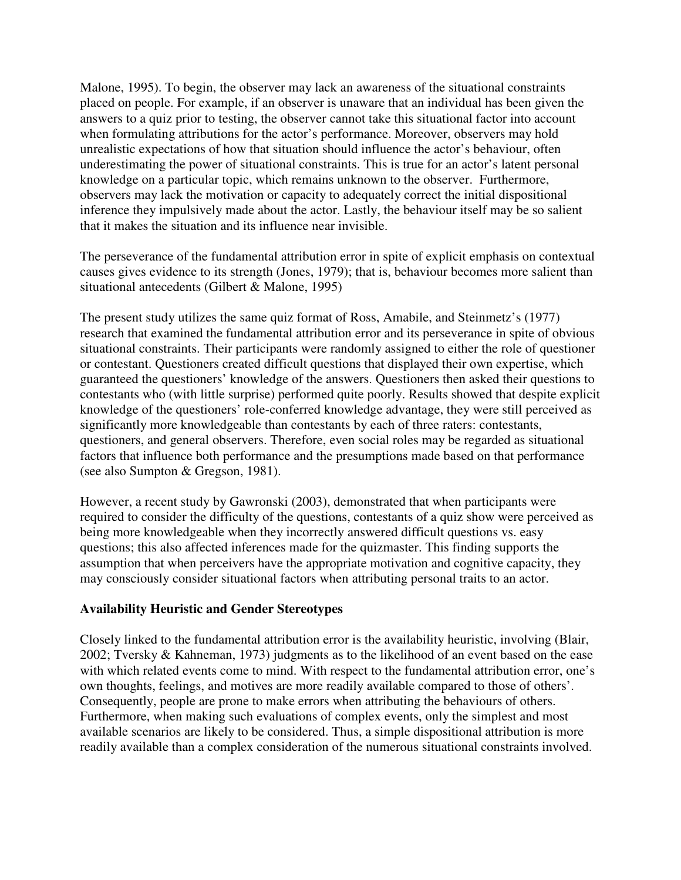Malone, 1995). To begin, the observer may lack an awareness of the situational constraints placed on people. For example, if an observer is unaware that an individual has been given the answers to a quiz prior to testing, the observer cannot take this situational factor into account when formulating attributions for the actor's performance. Moreover, observers may hold unrealistic expectations of how that situation should influence the actor's behaviour, often underestimating the power of situational constraints. This is true for an actor's latent personal knowledge on a particular topic, which remains unknown to the observer. Furthermore, observers may lack the motivation or capacity to adequately correct the initial dispositional inference they impulsively made about the actor. Lastly, the behaviour itself may be so salient that it makes the situation and its influence near invisible.

The perseverance of the fundamental attribution error in spite of explicit emphasis on contextual causes gives evidence to its strength (Jones, 1979); that is, behaviour becomes more salient than situational antecedents (Gilbert & Malone, 1995)

The present study utilizes the same quiz format of Ross, Amabile, and Steinmetz's (1977) research that examined the fundamental attribution error and its perseverance in spite of obvious situational constraints. Their participants were randomly assigned to either the role of questioner or contestant. Questioners created difficult questions that displayed their own expertise, which guaranteed the questioners' knowledge of the answers. Questioners then asked their questions to contestants who (with little surprise) performed quite poorly. Results showed that despite explicit knowledge of the questioners' role-conferred knowledge advantage, they were still perceived as significantly more knowledgeable than contestants by each of three raters: contestants, questioners, and general observers. Therefore, even social roles may be regarded as situational factors that influence both performance and the presumptions made based on that performance (see also Sumpton & Gregson, 1981).

However, a recent study by Gawronski (2003), demonstrated that when participants were required to consider the difficulty of the questions, contestants of a quiz show were perceived as being more knowledgeable when they incorrectly answered difficult questions vs. easy questions; this also affected inferences made for the quizmaster. This finding supports the assumption that when perceivers have the appropriate motivation and cognitive capacity, they may consciously consider situational factors when attributing personal traits to an actor.

#### **Availability Heuristic and Gender Stereotypes**

Closely linked to the fundamental attribution error is the availability heuristic, involving (Blair, 2002; Tversky & Kahneman, 1973) judgments as to the likelihood of an event based on the ease with which related events come to mind. With respect to the fundamental attribution error, one's own thoughts, feelings, and motives are more readily available compared to those of others'. Consequently, people are prone to make errors when attributing the behaviours of others. Furthermore, when making such evaluations of complex events, only the simplest and most available scenarios are likely to be considered. Thus, a simple dispositional attribution is more readily available than a complex consideration of the numerous situational constraints involved.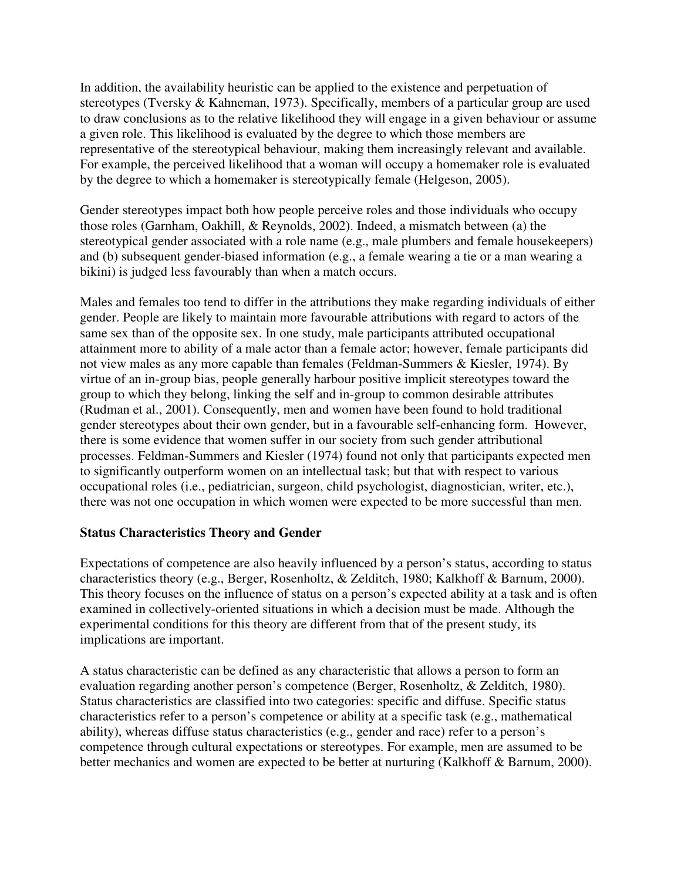In addition, the availability heuristic can be applied to the existence and perpetuation of stereotypes (Tversky & Kahneman, 1973). Specifically, members of a particular group are used to draw conclusions as to the relative likelihood they will engage in a given behaviour or assume a given role. This likelihood is evaluated by the degree to which those members are representative of the stereotypical behaviour, making them increasingly relevant and available. For example, the perceived likelihood that a woman will occupy a homemaker role is evaluated by the degree to which a homemaker is stereotypically female (Helgeson, 2005).

Gender stereotypes impact both how people perceive roles and those individuals who occupy those roles (Garnham, Oakhill, & Reynolds, 2002). Indeed, a mismatch between (a) the stereotypical gender associated with a role name (e.g., male plumbers and female housekeepers) and (b) subsequent gender-biased information (e.g., a female wearing a tie or a man wearing a bikini) is judged less favourably than when a match occurs.

Males and females too tend to differ in the attributions they make regarding individuals of either gender. People are likely to maintain more favourable attributions with regard to actors of the same sex than of the opposite sex. In one study, male participants attributed occupational attainment more to ability of a male actor than a female actor; however, female participants did not view males as any more capable than females (Feldman-Summers & Kiesler, 1974). By virtue of an in-group bias, people generally harbour positive implicit stereotypes toward the group to which they belong, linking the self and in-group to common desirable attributes (Rudman et al., 2001). Consequently, men and women have been found to hold traditional gender stereotypes about their own gender, but in a favourable self-enhancing form. However, there is some evidence that women suffer in our society from such gender attributional processes. Feldman-Summers and Kiesler (1974) found not only that participants expected men to significantly outperform women on an intellectual task; but that with respect to various occupational roles (i.e., pediatrician, surgeon, child psychologist, diagnostician, writer, etc.), there was not one occupation in which women were expected to be more successful than men.

#### **Status Characteristics Theory and Gender**

Expectations of competence are also heavily influenced by a person's status, according to status characteristics theory (e.g., Berger, Rosenholtz, & Zelditch, 1980; Kalkhoff & Barnum, 2000). This theory focuses on the influence of status on a person's expected ability at a task and is often examined in collectively-oriented situations in which a decision must be made. Although the experimental conditions for this theory are different from that of the present study, its implications are important.

A status characteristic can be defined as any characteristic that allows a person to form an evaluation regarding another person's competence (Berger, Rosenholtz, & Zelditch, 1980). Status characteristics are classified into two categories: specific and diffuse. Specific status characteristics refer to a person's competence or ability at a specific task (e.g., mathematical ability), whereas diffuse status characteristics (e.g., gender and race) refer to a person's competence through cultural expectations or stereotypes. For example, men are assumed to be better mechanics and women are expected to be better at nurturing (Kalkhoff & Barnum, 2000).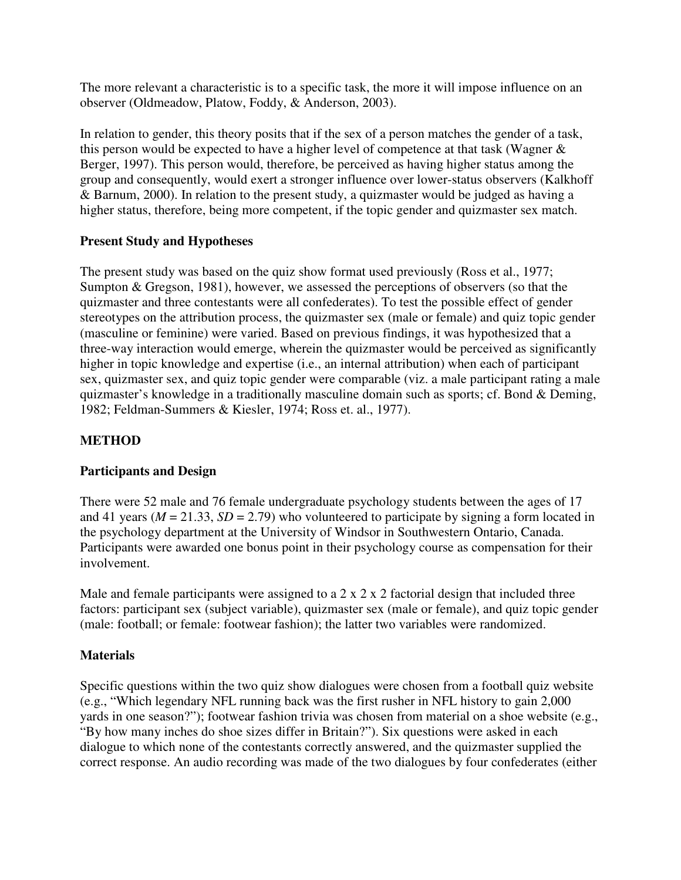The more relevant a characteristic is to a specific task, the more it will impose influence on an observer (Oldmeadow, Platow, Foddy, & Anderson, 2003).

In relation to gender, this theory posits that if the sex of a person matches the gender of a task, this person would be expected to have a higher level of competence at that task (Wagner & Berger, 1997). This person would, therefore, be perceived as having higher status among the group and consequently, would exert a stronger influence over lower-status observers (Kalkhoff & Barnum, 2000). In relation to the present study, a quizmaster would be judged as having a higher status, therefore, being more competent, if the topic gender and quizmaster sex match.

#### **Present Study and Hypotheses**

The present study was based on the quiz show format used previously (Ross et al., 1977; Sumpton & Gregson, 1981), however, we assessed the perceptions of observers (so that the quizmaster and three contestants were all confederates). To test the possible effect of gender stereotypes on the attribution process, the quizmaster sex (male or female) and quiz topic gender (masculine or feminine) were varied. Based on previous findings, it was hypothesized that a three-way interaction would emerge, wherein the quizmaster would be perceived as significantly higher in topic knowledge and expertise (i.e., an internal attribution) when each of participant sex, quizmaster sex, and quiz topic gender were comparable (viz. a male participant rating a male quizmaster's knowledge in a traditionally masculine domain such as sports; cf. Bond & Deming, 1982; Feldman-Summers & Kiesler, 1974; Ross et. al., 1977).

## **METHOD**

#### **Participants and Design**

There were 52 male and 76 female undergraduate psychology students between the ages of 17 and 41 years ( $M = 21.33$ ,  $SD = 2.79$ ) who volunteered to participate by signing a form located in the psychology department at the University of Windsor in Southwestern Ontario, Canada. Participants were awarded one bonus point in their psychology course as compensation for their involvement.

Male and female participants were assigned to a  $2 \times 2 \times 2$  factorial design that included three factors: participant sex (subject variable), quizmaster sex (male or female), and quiz topic gender (male: football; or female: footwear fashion); the latter two variables were randomized.

#### **Materials**

Specific questions within the two quiz show dialogues were chosen from a football quiz website (e.g., "Which legendary NFL running back was the first rusher in NFL history to gain 2,000 yards in one season?"); footwear fashion trivia was chosen from material on a shoe website (e.g., "By how many inches do shoe sizes differ in Britain?"). Six questions were asked in each dialogue to which none of the contestants correctly answered, and the quizmaster supplied the correct response. An audio recording was made of the two dialogues by four confederates (either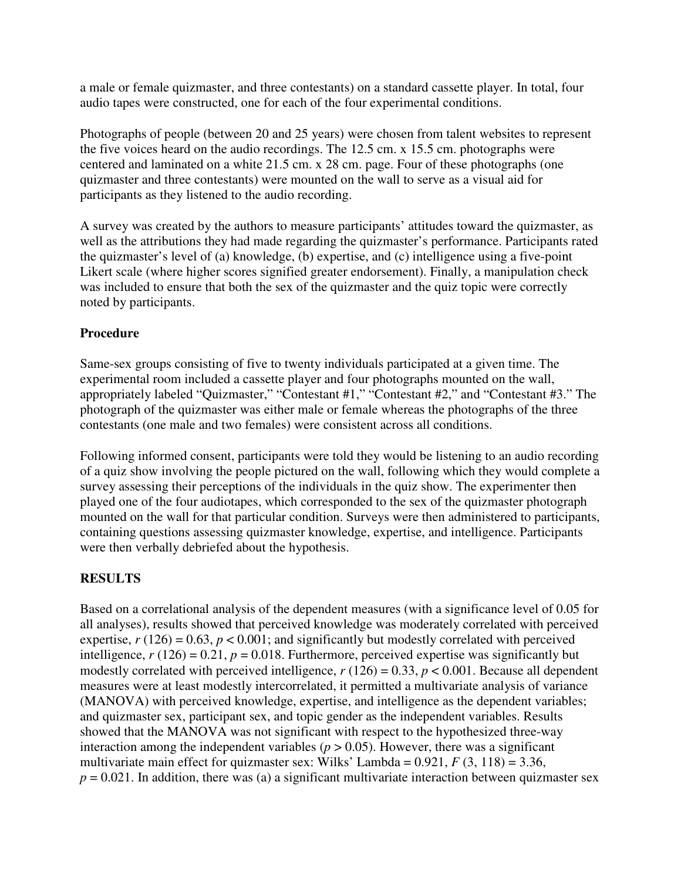a male or female quizmaster, and three contestants) on a standard cassette player. In total, four audio tapes were constructed, one for each of the four experimental conditions.

Photographs of people (between 20 and 25 years) were chosen from talent websites to represent the five voices heard on the audio recordings. The 12.5 cm. x 15.5 cm. photographs were centered and laminated on a white 21.5 cm. x 28 cm. page. Four of these photographs (one quizmaster and three contestants) were mounted on the wall to serve as a visual aid for participants as they listened to the audio recording.

A survey was created by the authors to measure participants' attitudes toward the quizmaster, as well as the attributions they had made regarding the quizmaster's performance. Participants rated the quizmaster's level of (a) knowledge, (b) expertise, and (c) intelligence using a five-point Likert scale (where higher scores signified greater endorsement). Finally, a manipulation check was included to ensure that both the sex of the quizmaster and the quiz topic were correctly noted by participants.

#### **Procedure**

Same-sex groups consisting of five to twenty individuals participated at a given time. The experimental room included a cassette player and four photographs mounted on the wall, appropriately labeled "Quizmaster," "Contestant #1," "Contestant #2," and "Contestant #3." The photograph of the quizmaster was either male or female whereas the photographs of the three contestants (one male and two females) were consistent across all conditions.

Following informed consent, participants were told they would be listening to an audio recording of a quiz show involving the people pictured on the wall, following which they would complete a survey assessing their perceptions of the individuals in the quiz show. The experimenter then played one of the four audiotapes, which corresponded to the sex of the quizmaster photograph mounted on the wall for that particular condition. Surveys were then administered to participants, containing questions assessing quizmaster knowledge, expertise, and intelligence. Participants were then verbally debriefed about the hypothesis.

# **RESULTS**

Based on a correlational analysis of the dependent measures (with a significance level of 0.05 for all analyses), results showed that perceived knowledge was moderately correlated with perceived expertise,  $r(126) = 0.63$ ,  $p < 0.001$ ; and significantly but modestly correlated with perceived intelligence,  $r(126) = 0.21$ ,  $p = 0.018$ . Furthermore, perceived expertise was significantly but modestly correlated with perceived intelligence,  $r(126) = 0.33$ ,  $p < 0.001$ . Because all dependent measures were at least modestly intercorrelated, it permitted a multivariate analysis of variance (MANOVA) with perceived knowledge, expertise, and intelligence as the dependent variables; and quizmaster sex, participant sex, and topic gender as the independent variables. Results showed that the MANOVA was not significant with respect to the hypothesized three-way interaction among the independent variables ( $p > 0.05$ ). However, there was a significant multivariate main effect for quizmaster sex: Wilks' Lambda =  $0.921$ ,  $F(3, 118) = 3.36$ ,  $p = 0.021$ . In addition, there was (a) a significant multivariate interaction between quizmaster sex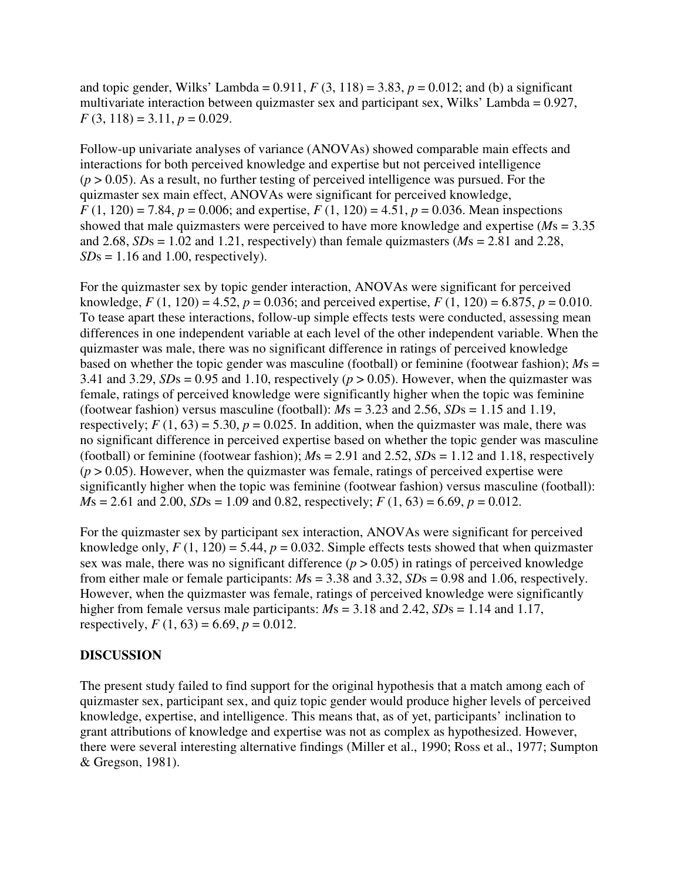and topic gender, Wilks' Lambda =  $0.911$ ,  $F(3, 118) = 3.83$ ,  $p = 0.012$ ; and (b) a significant multivariate interaction between quizmaster sex and participant sex, Wilks' Lambda = 0.927,  $F(3, 118) = 3.11, p = 0.029.$ 

Follow-up univariate analyses of variance (ANOVAs) showed comparable main effects and interactions for both perceived knowledge and expertise but not perceived intelligence  $(p > 0.05)$ . As a result, no further testing of perceived intelligence was pursued. For the quizmaster sex main effect, ANOVAs were significant for perceived knowledge,  $F(1, 120) = 7.84$ ,  $p = 0.006$ ; and expertise,  $F(1, 120) = 4.51$ ,  $p = 0.036$ . Mean inspections showed that male quizmasters were perceived to have more knowledge and expertise (*M*s = 3.35 and 2.68,  $SDs = 1.02$  and 1.21, respectively) than female quizmasters ( $Ms = 2.81$  and 2.28,  $SDs = 1.16$  and 1.00, respectively).

For the quizmaster sex by topic gender interaction, ANOVAs were significant for perceived knowledge,  $F(1, 120) = 4.52$ ,  $p = 0.036$ ; and perceived expertise,  $F(1, 120) = 6.875$ ,  $p = 0.010$ . To tease apart these interactions, follow-up simple effects tests were conducted, assessing mean differences in one independent variable at each level of the other independent variable. When the quizmaster was male, there was no significant difference in ratings of perceived knowledge based on whether the topic gender was masculine (football) or feminine (footwear fashion); *M*s = 3.41 and 3.29,  $SDs = 0.95$  and 1.10, respectively ( $p > 0.05$ ). However, when the quizmaster was female, ratings of perceived knowledge were significantly higher when the topic was feminine (footwear fashion) versus masculine (football):  $Ms = 3.23$  and  $2.56$ ,  $SDs = 1.15$  and 1.19, respectively;  $F(1, 63) = 5.30$ ,  $p = 0.025$ . In addition, when the quizmaster was male, there was no significant difference in perceived expertise based on whether the topic gender was masculine (football) or feminine (footwear fashion);  $M_s = 2.91$  and  $2.52$ ,  $SDs = 1.12$  and 1.18, respectively  $(p > 0.05)$ . However, when the quizmaster was female, ratings of perceived expertise were significantly higher when the topic was feminine (footwear fashion) versus masculine (football):  $M_s = 2.61$  and 2.00,  $SDs = 1.09$  and 0.82, respectively;  $F(1, 63) = 6.69$ ,  $p = 0.012$ .

For the quizmaster sex by participant sex interaction, ANOVAs were significant for perceived knowledge only,  $F(1, 120) = 5.44$ ,  $p = 0.032$ . Simple effects tests showed that when quizmaster sex was male, there was no significant difference  $(p > 0.05)$  in ratings of perceived knowledge from either male or female participants: *M*s = 3.38 and 3.32, *SD*s = 0.98 and 1.06, respectively. However, when the quizmaster was female, ratings of perceived knowledge were significantly higher from female versus male participants: *M*s = 3.18 and 2.42, *SD*s = 1.14 and 1.17, respectively,  $F(1, 63) = 6.69$ ,  $p = 0.012$ .

#### **DISCUSSION**

The present study failed to find support for the original hypothesis that a match among each of quizmaster sex, participant sex, and quiz topic gender would produce higher levels of perceived knowledge, expertise, and intelligence. This means that, as of yet, participants' inclination to grant attributions of knowledge and expertise was not as complex as hypothesized. However, there were several interesting alternative findings (Miller et al., 1990; Ross et al., 1977; Sumpton & Gregson, 1981).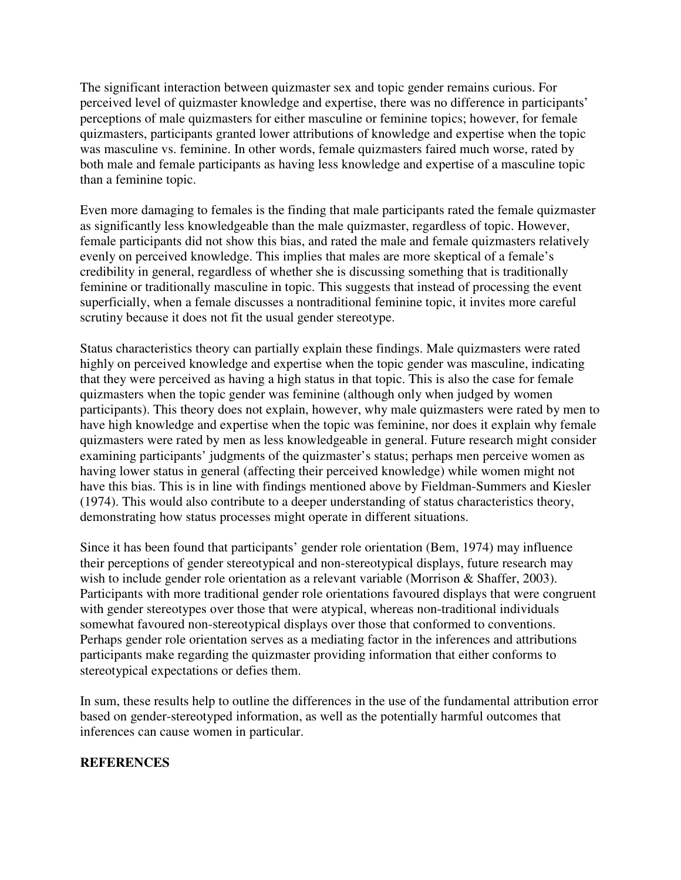The significant interaction between quizmaster sex and topic gender remains curious. For perceived level of quizmaster knowledge and expertise, there was no difference in participants' perceptions of male quizmasters for either masculine or feminine topics; however, for female quizmasters, participants granted lower attributions of knowledge and expertise when the topic was masculine vs. feminine. In other words, female quizmasters faired much worse, rated by both male and female participants as having less knowledge and expertise of a masculine topic than a feminine topic.

Even more damaging to females is the finding that male participants rated the female quizmaster as significantly less knowledgeable than the male quizmaster, regardless of topic. However, female participants did not show this bias, and rated the male and female quizmasters relatively evenly on perceived knowledge. This implies that males are more skeptical of a female's credibility in general, regardless of whether she is discussing something that is traditionally feminine or traditionally masculine in topic. This suggests that instead of processing the event superficially, when a female discusses a nontraditional feminine topic, it invites more careful scrutiny because it does not fit the usual gender stereotype.

Status characteristics theory can partially explain these findings. Male quizmasters were rated highly on perceived knowledge and expertise when the topic gender was masculine, indicating that they were perceived as having a high status in that topic. This is also the case for female quizmasters when the topic gender was feminine (although only when judged by women participants). This theory does not explain, however, why male quizmasters were rated by men to have high knowledge and expertise when the topic was feminine, nor does it explain why female quizmasters were rated by men as less knowledgeable in general. Future research might consider examining participants' judgments of the quizmaster's status; perhaps men perceive women as having lower status in general (affecting their perceived knowledge) while women might not have this bias. This is in line with findings mentioned above by Fieldman-Summers and Kiesler (1974). This would also contribute to a deeper understanding of status characteristics theory, demonstrating how status processes might operate in different situations.

Since it has been found that participants' gender role orientation (Bem, 1974) may influence their perceptions of gender stereotypical and non-stereotypical displays, future research may wish to include gender role orientation as a relevant variable (Morrison & Shaffer, 2003). Participants with more traditional gender role orientations favoured displays that were congruent with gender stereotypes over those that were atypical, whereas non-traditional individuals somewhat favoured non-stereotypical displays over those that conformed to conventions. Perhaps gender role orientation serves as a mediating factor in the inferences and attributions participants make regarding the quizmaster providing information that either conforms to stereotypical expectations or defies them.

In sum, these results help to outline the differences in the use of the fundamental attribution error based on gender-stereotyped information, as well as the potentially harmful outcomes that inferences can cause women in particular.

#### **REFERENCES**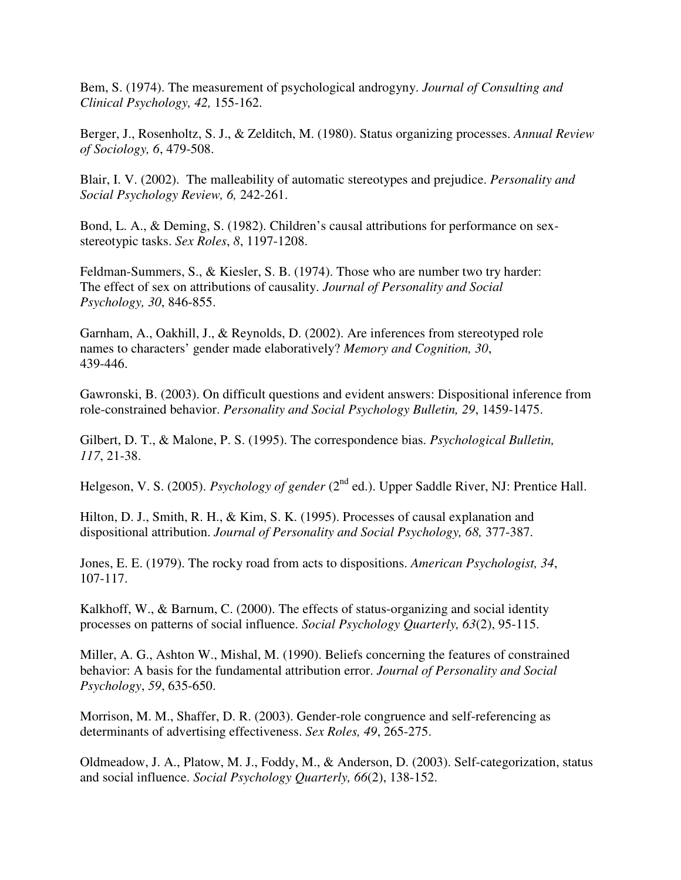Bem, S. (1974). The measurement of psychological androgyny. *Journal of Consulting and Clinical Psychology, 42,* 155-162.

Berger, J., Rosenholtz, S. J., & Zelditch, M. (1980). Status organizing processes. *Annual Review of Sociology, 6*, 479-508.

Blair, I. V. (2002). The malleability of automatic stereotypes and prejudice. *Personality and Social Psychology Review, 6,* 242-261.

Bond, L. A., & Deming, S. (1982). Children's causal attributions for performance on sexstereotypic tasks. *Sex Roles*, *8*, 1197-1208.

Feldman-Summers, S., & Kiesler, S. B. (1974). Those who are number two try harder: The effect of sex on attributions of causality. *Journal of Personality and Social Psychology, 30*, 846-855.

Garnham, A., Oakhill, J., & Reynolds, D. (2002). Are inferences from stereotyped role names to characters' gender made elaboratively? *Memory and Cognition, 30*, 439-446.

Gawronski, B. (2003). On difficult questions and evident answers: Dispositional inference from role-constrained behavior. *Personality and Social Psychology Bulletin, 29*, 1459-1475.

Gilbert, D. T., & Malone, P. S. (1995). The correspondence bias. *Psychological Bulletin, 117*, 21-38.

Helgeson, V. S. (2005). *Psychology of gender* (2<sup>nd</sup> ed.). Upper Saddle River, NJ: Prentice Hall.

Hilton, D. J., Smith, R. H., & Kim, S. K. (1995). Processes of causal explanation and dispositional attribution. *Journal of Personality and Social Psychology, 68,* 377-387.

Jones, E. E. (1979). The rocky road from acts to dispositions. *American Psychologist, 34*, 107-117.

Kalkhoff, W., & Barnum, C. (2000). The effects of status-organizing and social identity processes on patterns of social influence. *Social Psychology Quarterly, 63*(2), 95-115.

Miller, A. G., Ashton W., Mishal, M. (1990). Beliefs concerning the features of constrained behavior: A basis for the fundamental attribution error. *Journal of Personality and Social Psychology*, *59*, 635-650.

Morrison, M. M., Shaffer, D. R. (2003). Gender-role congruence and self-referencing as determinants of advertising effectiveness. *Sex Roles, 49*, 265-275.

Oldmeadow, J. A., Platow, M. J., Foddy, M., & Anderson, D. (2003). Self-categorization, status and social influence. *Social Psychology Quarterly, 66*(2), 138-152.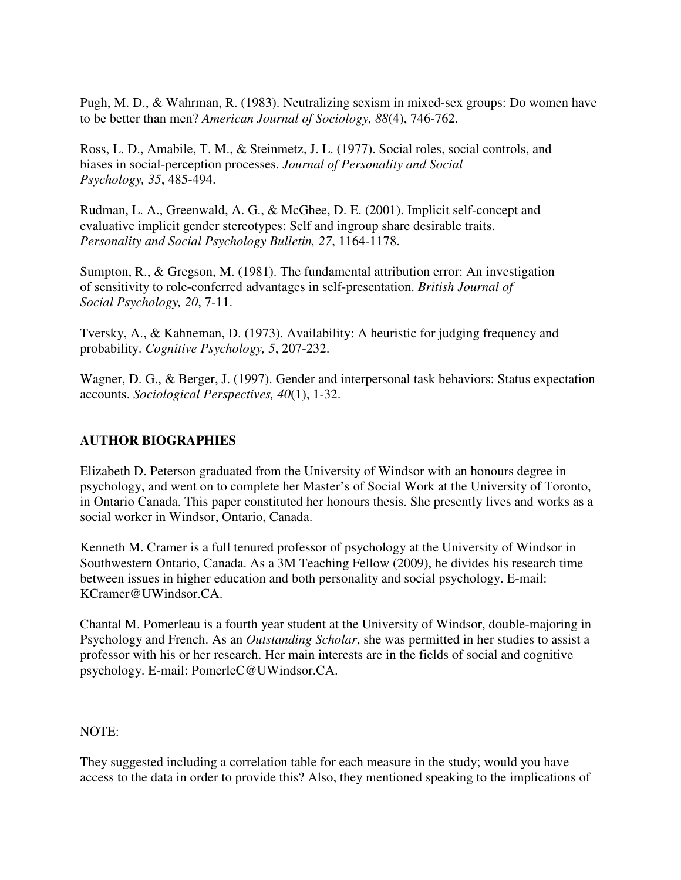Pugh, M. D., & Wahrman, R. (1983). Neutralizing sexism in mixed-sex groups: Do women have to be better than men? *American Journal of Sociology, 88*(4), 746-762.

Ross, L. D., Amabile, T. M., & Steinmetz, J. L. (1977). Social roles, social controls, and biases in social-perception processes. *Journal of Personality and Social Psychology, 35*, 485-494.

Rudman, L. A., Greenwald, A. G., & McGhee, D. E. (2001). Implicit self-concept and evaluative implicit gender stereotypes: Self and ingroup share desirable traits. *Personality and Social Psychology Bulletin, 27*, 1164-1178.

Sumpton, R., & Gregson, M. (1981). The fundamental attribution error: An investigation of sensitivity to role-conferred advantages in self-presentation. *British Journal of Social Psychology, 20*, 7-11.

Tversky, A., & Kahneman, D. (1973). Availability: A heuristic for judging frequency and probability. *Cognitive Psychology, 5*, 207-232.

Wagner, D. G., & Berger, J. (1997). Gender and interpersonal task behaviors: Status expectation accounts. *Sociological Perspectives, 40*(1), 1-32.

## **AUTHOR BIOGRAPHIES**

Elizabeth D. Peterson graduated from the University of Windsor with an honours degree in psychology, and went on to complete her Master's of Social Work at the University of Toronto, in Ontario Canada. This paper constituted her honours thesis. She presently lives and works as a social worker in Windsor, Ontario, Canada.

Kenneth M. Cramer is a full tenured professor of psychology at the University of Windsor in Southwestern Ontario, Canada. As a 3M Teaching Fellow (2009), he divides his research time between issues in higher education and both personality and social psychology. E-mail: KCramer@UWindsor.CA.

Chantal M. Pomerleau is a fourth year student at the University of Windsor, double-majoring in Psychology and French. As an *Outstanding Scholar*, she was permitted in her studies to assist a professor with his or her research. Her main interests are in the fields of social and cognitive psychology. E-mail: PomerleC@UWindsor.CA.

#### NOTE:

They suggested including a correlation table for each measure in the study; would you have access to the data in order to provide this? Also, they mentioned speaking to the implications of